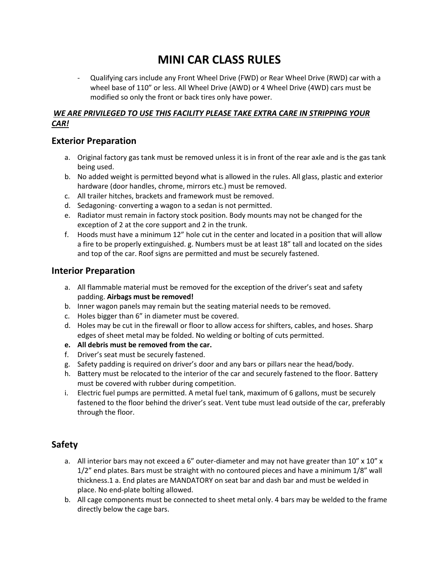# **MINI CAR CLASS RULES**

- Qualifying cars include any Front Wheel Drive (FWD) or Rear Wheel Drive (RWD) car with a wheel base of 110" or less. All Wheel Drive (AWD) or 4 Wheel Drive (4WD) cars must be modified so only the front or back tires only have power.

### *WE ARE PRIVILEGED TO USE THIS FACILITY PLEASE TAKE EXTRA CARE IN STRIPPING YOUR CAR!*

# **Exterior Preparation**

- a. Original factory gas tank must be removed unless it is in front of the rear axle and is the gas tank being used.
- b. No added weight is permitted beyond what is allowed in the rules. All glass, plastic and exterior hardware (door handles, chrome, mirrors etc.) must be removed.
- c. All trailer hitches, brackets and framework must be removed.
- d. Sedagoning- converting a wagon to a sedan is not permitted.
- e. Radiator must remain in factory stock position. Body mounts may not be changed for the exception of 2 at the core support and 2 in the trunk.
- f. Hoods must have a minimum 12" hole cut in the center and located in a position that will allow a fire to be properly extinguished. g. Numbers must be at least 18" tall and located on the sides and top of the car. Roof signs are permitted and must be securely fastened.

# **Interior Preparation**

- a. All flammable material must be removed for the exception of the driver's seat and safety padding. **Airbags must be removed!**
- b. Inner wagon panels may remain but the seating material needs to be removed.
- c. Holes bigger than 6" in diameter must be covered.
- d. Holes may be cut in the firewall or floor to allow access for shifters, cables, and hoses. Sharp edges of sheet metal may be folded. No welding or bolting of cuts permitted.
- **e. All debris must be removed from the car.**
- f. Driver's seat must be securely fastened.
- g. Safety padding is required on driver's door and any bars or pillars near the head/body.
- h. Battery must be relocated to the interior of the car and securely fastened to the floor. Battery must be covered with rubber during competition.
- i. Electric fuel pumps are permitted. A metal fuel tank, maximum of 6 gallons, must be securely fastened to the floor behind the driver's seat. Vent tube must lead outside of the car, preferably through the floor.

# **Safety**

- a. All interior bars may not exceed a 6" outer-diameter and may not have greater than  $10'' \times 10''$  x 1/2" end plates. Bars must be straight with no contoured pieces and have a minimum 1/8" wall thickness.1 a. End plates are MANDATORY on seat bar and dash bar and must be welded in place. No end-plate bolting allowed.
- b. All cage components must be connected to sheet metal only. 4 bars may be welded to the frame directly below the cage bars.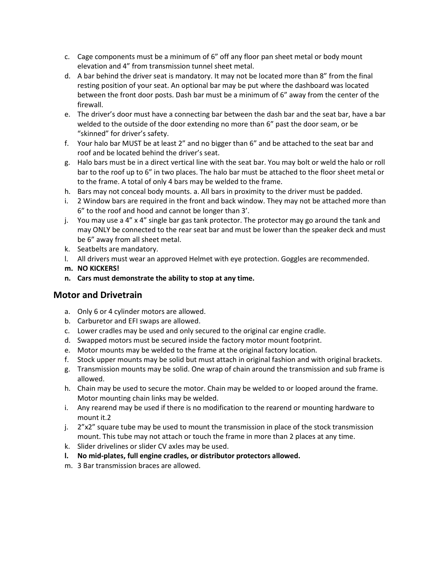- c. Cage components must be a minimum of 6" off any floor pan sheet metal or body mount elevation and 4" from transmission tunnel sheet metal.
- d. A bar behind the driver seat is mandatory. It may not be located more than 8" from the final resting position of your seat. An optional bar may be put where the dashboard was located between the front door posts. Dash bar must be a minimum of 6" away from the center of the firewall.
- e. The driver's door must have a connecting bar between the dash bar and the seat bar, have a bar welded to the outside of the door extending no more than 6" past the door seam, or be "skinned" for driver's safety.
- f. Your halo bar MUST be at least 2" and no bigger than 6" and be attached to the seat bar and roof and be located behind the driver's seat.
- g. Halo bars must be in a direct vertical line with the seat bar. You may bolt or weld the halo or roll bar to the roof up to 6" in two places. The halo bar must be attached to the floor sheet metal or to the frame. A total of only 4 bars may be welded to the frame.
- h. Bars may not conceal body mounts. a. All bars in proximity to the driver must be padded.
- i. 2 Window bars are required in the front and back window. They may not be attached more than 6" to the roof and hood and cannot be longer than 3'.
- j. You may use a 4"  $\times$  4" single bar gas tank protector. The protector may go around the tank and may ONLY be connected to the rear seat bar and must be lower than the speaker deck and must be 6" away from all sheet metal.
- k. Seatbelts are mandatory.
- l. All drivers must wear an approved Helmet with eye protection. Goggles are recommended.
- **m. NO KICKERS!**
- **n. Cars must demonstrate the ability to stop at any time.**

# **Motor and Drivetrain**

- a. Only 6 or 4 cylinder motors are allowed.
- b. Carburetor and EFI swaps are allowed.
- c. Lower cradles may be used and only secured to the original car engine cradle.
- d. Swapped motors must be secured inside the factory motor mount footprint.
- e. Motor mounts may be welded to the frame at the original factory location.
- f. Stock upper mounts may be solid but must attach in original fashion and with original brackets.
- g. Transmission mounts may be solid. One wrap of chain around the transmission and sub frame is allowed.
- h. Chain may be used to secure the motor. Chain may be welded to or looped around the frame. Motor mounting chain links may be welded.
- i. Any rearend may be used if there is no modification to the rearend or mounting hardware to mount it.2
- j.  $2''x2''$  square tube may be used to mount the transmission in place of the stock transmission mount. This tube may not attach or touch the frame in more than 2 places at any time.
- k. Slider drivelines or slider CV axles may be used.
- **l. No mid-plates, full engine cradles, or distributor protectors allowed.**
- m. 3 Bar transmission braces are allowed.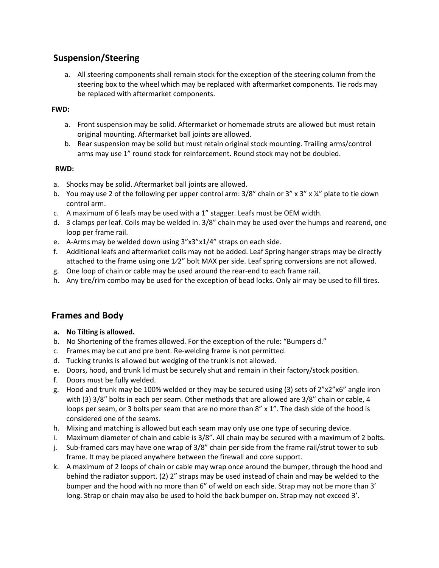# **Suspension/Steering**

a. All steering components shall remain stock for the exception of the steering column from the steering box to the wheel which may be replaced with aftermarket components. Tie rods may be replaced with aftermarket components.

#### **FWD:**

- a. Front suspension may be solid. Aftermarket or homemade struts are allowed but must retain original mounting. Aftermarket ball joints are allowed.
- b. Rear suspension may be solid but must retain original stock mounting. Trailing arms/control arms may use 1" round stock for reinforcement. Round stock may not be doubled.

#### **RWD:**

- a. Shocks may be solid. Aftermarket ball joints are allowed.
- b. You may use 2 of the following per upper control arm:  $3/8$ " chain or  $3''$  x  $3''$  x  $\frac{1}{4}$ " plate to tie down control arm.
- c. A maximum of 6 leafs may be used with a 1" stagger. Leafs must be OEM width.
- d. 3 clamps per leaf. Coils may be welded in. 3/8" chain may be used over the humps and rearend, one loop per frame rail.
- e. A-Arms may be welded down using 3"x3"x1/4" straps on each side.
- f. Additional leafs and aftermarket coils may not be added. Leaf Spring hanger straps may be directly attached to the frame using one 1⁄2" bolt MAX per side. Leaf spring conversions are not allowed.
- g. One loop of chain or cable may be used around the rear-end to each frame rail.
- h. Any tire/rim combo may be used for the exception of bead locks. Only air may be used to fill tires.

# **Frames and Body**

- **a. No Tilting is allowed.**
- b. No Shortening of the frames allowed. For the exception of the rule: "Bumpers d."
- c. Frames may be cut and pre bent. Re-welding frame is not permitted.
- d. Tucking trunks is allowed but wedging of the trunk is not allowed.
- e. Doors, hood, and trunk lid must be securely shut and remain in their factory/stock position.
- f. Doors must be fully welded.
- g. Hood and trunk may be 100% welded or they may be secured using (3) sets of 2"x2"x6" angle iron with (3) 3/8" bolts in each per seam. Other methods that are allowed are 3/8" chain or cable, 4 loops per seam, or 3 bolts per seam that are no more than 8" x 1". The dash side of the hood is considered one of the seams.
- h. Mixing and matching is allowed but each seam may only use one type of securing device.
- i. Maximum diameter of chain and cable is 3/8". All chain may be secured with a maximum of 2 bolts.
- j. Sub-framed cars may have one wrap of 3/8" chain per side from the frame rail/strut tower to sub frame. It may be placed anywhere between the firewall and core support.
- k. A maximum of 2 loops of chain or cable may wrap once around the bumper, through the hood and behind the radiator support. (2) 2" straps may be used instead of chain and may be welded to the bumper and the hood with no more than 6" of weld on each side. Strap may not be more than 3' long. Strap or chain may also be used to hold the back bumper on. Strap may not exceed 3'.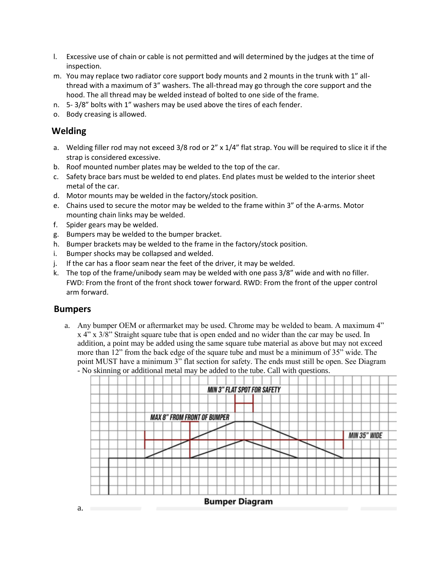- l. Excessive use of chain or cable is not permitted and will determined by the judges at the time of inspection.
- m. You may replace two radiator core support body mounts and 2 mounts in the trunk with 1" allthread with a maximum of 3" washers. The all-thread may go through the core support and the hood. The all thread may be welded instead of bolted to one side of the frame.
- n. 5- 3/8" bolts with 1" washers may be used above the tires of each fender.
- o. Body creasing is allowed.

# **Welding**

- a. Welding filler rod may not exceed 3/8 rod or 2" x 1/4" flat strap. You will be required to slice it if the strap is considered excessive.
- b. Roof mounted number plates may be welded to the top of the car.
- c. Safety brace bars must be welded to end plates. End plates must be welded to the interior sheet metal of the car.
- d. Motor mounts may be welded in the factory/stock position.
- e. Chains used to secure the motor may be welded to the frame within 3" of the A-arms. Motor mounting chain links may be welded.
- f. Spider gears may be welded.
- g. Bumpers may be welded to the bumper bracket.
- h. Bumper brackets may be welded to the frame in the factory/stock position.
- i. Bumper shocks may be collapsed and welded.
- j. If the car has a floor seam near the feet of the driver, it may be welded.
- k. The top of the frame/unibody seam may be welded with one pass 3/8" wide and with no filler. FWD: From the front of the front shock tower forward. RWD: From the front of the upper control arm forward.

#### **Bumpers**

a. Any bumper OEM or aftermarket may be used. Chrome may be welded to beam. A maximum 4" x 4" x 3/8" Straight square tube that is open ended and no wider than the car may be used. In addition, a point may be added using the same square tube material as above but may not exceed more than 12" from the back edge of the square tube and must be a minimum of 35" wide. The point MUST have a minimum 3" flat section for safety. The ends must still be open. See Diagram - No skinning or additional metal may be added to the tube. Call with questions.



a.